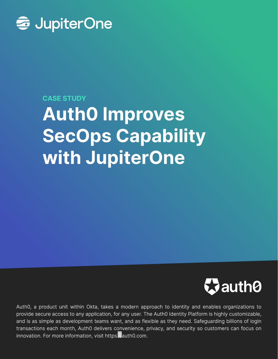

#### CASE STUDY

# Auth0 Improves SecOps Capability with JupiterOne



[Auth0, a product unit within Okta, takes a modern approach to identity and enables organizations to](https://auth0.com)  provide secure access to any application, for any user. The Auth0 Identity Platform is highly customizable, and is as simple as development teams want, and as flexible as they need. Safeguarding billions of login transactions each month, Auth0 delivers convenience, privacy, and security so customers can focus on innovation. For more information, visit https. auth0.com.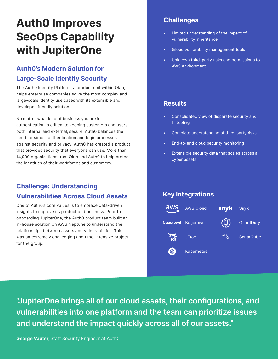# Auth0 Improves SecOps Capability with JupiterOne

# Auth0's Modern Solution for Large-Scale Identity Security

The Auth0 Identity Platform, a product unit within Okta, helps enterprise companies solve the most complex and large-scale identity use cases with its extensible and developer-friendly solution.

No matter what kind of business you are in, authentication is critical to keeping customers and users, both internal and external, secure. Auth0 balances the need for simple authentication and login processes against security and privacy. Auth0 has created a product that provides security that everyone can use. More than 14,000 organizations trust Okta and Auth0 to help protect the identities of their workforces and customers.

### Challenge: Understanding Vulnerabilities Across Cloud Assets

One of Auth0's core values is to embrace data-driven insights to improve its product and business. Prior to onboarding JupiterOne, the Auth0 product team built an in-house solution on AWS Neptune to understand the relationships between assets and vulnerabilities. This was an extremely challenging and time-intensive project for the group.

#### **Challenges**

- Limited understanding of the impact of vulnerability inheritance
- Siloed vulnerability management tools
- Unknown third-party risks and permissions to AWS environment

#### **Results**

- Consolidated view of disparate security and IT tooling
- Complete understanding of third-party risks
- End-to-end cloud security monitoring
- Extensible security data that scales across all cyber assets

#### Key Integrations



"JupiterOne brings all of our cloud assets, their configurations, and vulnerabilities into one platform and the team can prioritize issues and understand the impact quickly across all of our assets."

George Vauter, Staff Security Engineer at Auth0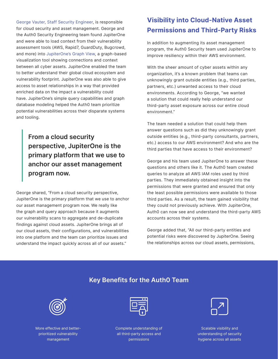[George Vauter, Staff Security Engineer,](https://www.linkedin.com/in/georgevauter/) is responsible for cloud security and asset management. George and the Auth0 Security Engineering team found JupiterOne and were able to load context from their vulnerability assessment tools (AWS, Rapid7, GuardDuty, Bugcrowd, and more) into [JupiterOne's Graph View](https://jupiterone.com/features/galaxy-view/), a graph-based visualization tool showing connections and context between all cyber assets. JupiterOne enabled the team to better understand their global cloud ecosystem and vulnerability footprint. JupiterOne was also able to give access to asset relationships in a way that provided enriched data on the impact a vulnerability could have. JupiterOne's simple query capabilities and graph database modeling helped the Auth0 team prioritize potential vulnerabilities across their disparate systems and tooling.

> From a cloud security perspective, JupiterOne is the primary platform that we use to anchor our asset management program now.

George shared, "From a cloud security perspective, JupiterOne is the primary platform that we use to anchor our asset management program now. We really like the graph and query approach because it augments our vulnerability scans to aggregate and de-duplicate findings against cloud assets. JupiterOne brings all of our cloud assets, their configurations, and vulnerabilities into one platform and the team can prioritize issues and understand the impact quickly across all of our assets."

# Visibility into Cloud-Native Asset Permissions and Third-Party Risks

In addition to augmenting its asset management program, the Auth0 Security team used JupiterOne to improve resiliency within their AWS environment.

With the sheer amount of cyber assets within any organization, it's a known problem that teams can unknowingly grant outside entities (e.g., third parties, partners, etc.) unwanted access to their cloud environments. According to George, "we wanted a solution that could really help understand our third-party asset exposure across our entire cloud environment."

The team needed a solution that could help them answer questions such as did they unknowingly grant outside entities (e.g., third-party consultants, partners, etc.) access to our AWS environment? And who are the third parties that have access to their environment?

George and his team used JupiterOne to answer these questions and others like it. The Auth0 team created queries to analyze all AWS IAM roles used by third parties. They immediately obtained insight into the permissions that were granted and ensured that only the least possible permissions were available to those third parties. As a result, the team gained visibility that they could not previously achieve. With JupiterOne, Auth0 can now see and understand the third-party AWS accounts across their systems.

George added that, "All our third-party entities and potential risks were discovered by JupiterOne. Seeing the relationships across our cloud assets, permissions,

#### Key Benefits for the Auth0 Team



More effective and betterprioritized vulnerability management

Complete understanding of all third-party access and permissions

Scalable visibility and understanding of security hygiene across all assets